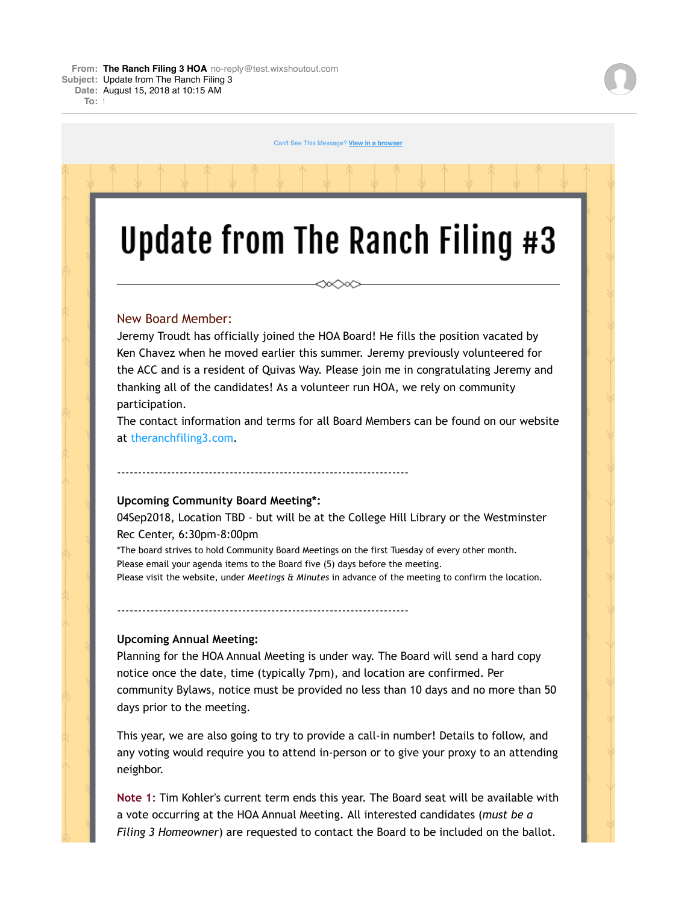$T \cap r$ : t

Can't See This Message? **View in a browser**

# Update from The Ranch Filing #3

∞⇔∞

## New Board Member:

Jeremy Troudt has officially joined the HOA Board! He fills the position vacated by Ken Chavez when he moved earlier this summer. Jeremy previously volunteered for the ACC and is a resident of Quivas Way. Please join me in congratulating Jeremy and thanking all of the candidates! As a volunteer run HOA, we rely on community participation.

The contact information and terms for all Board Members can be found on our website at theranchfiling3.com.

#### **Upcoming Community Board Meeting\*:**

----------------------------------------------------------------------

----------------------------------------------------------------------

04Sep2018, Location TBD - but will be at the College Hill Library or the Westminster Rec Center, 6:30pm-8:00pm

\*The board strives to hold Community Board Meetings on the first Tuesday of every other month. Please email your agenda items to the Board five (5) days before the meeting. Please visit the website, under *Meetings & Minutes* in advance of the meeting to confirm the location.

#### **Upcoming Annual Meeting:**

Planning for the HOA Annual Meeting is under way. The Board will send a hard copy notice once the date, time (typically 7pm), and location are confirmed. Per community Bylaws, notice must be provided no less than 10 days and no more than 50 days prior to the meeting.

This year, we are also going to try to provide a call-in number! Details to follow, and any voting would require you to attend in-person or to give your proxy to an attending neighbor.

**Note 1**: Tim Kohler's current term ends this year. The Board seat will be available with a vote occurring at the HOA Annual Meeting. All interested candidates (*must be a Filing 3 Homeowner*) are requested to contact the Board to be included on the ballot.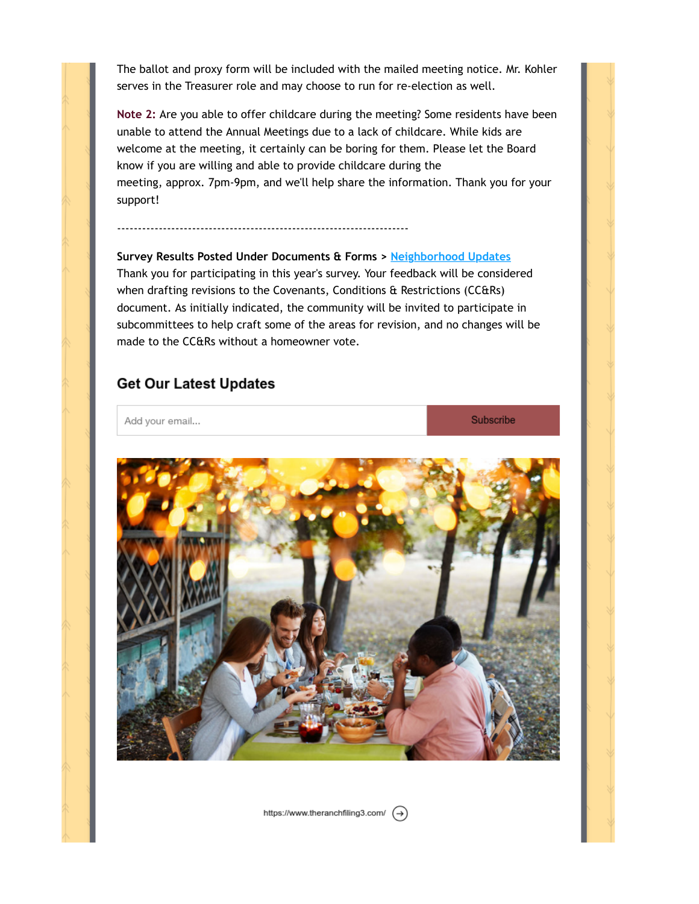The ballot and proxy form will be included with the mailed meeting notice. Mr. Kohler serves in the Treasurer role and may choose to run for re-election as well.

**Note 2:** Are you able to offer childcare during the meeting? Some residents have been unable to attend the Annual Meetings due to a lack of childcare. While kids are welcome at the meeting, it certainly can be boring for them. Please let the Board know if you are willing and able to provide childcare during the meeting, approx. 7pm-9pm, and we'll help share the information. Thank you for your support!

## **Survey Results Posted Under Documents & Forms > Neighborhood Updates**

----------------------------------------------------------------------

Thank you for participating in this year's survey. Your feedback will be considered when drafting revisions to the Covenants, Conditions & Restrictions (CC&Rs) document. As initially indicated, the community will be invited to participate in subcommittees to help craft some of the areas for revision, and no changes will be made to the CC&Rs without a homeowner vote.

# **Get Our Latest Updates**

Add your email...

Subscribe



https://www.theranchfiling3.com/ $\left(\rightarrow\right)$